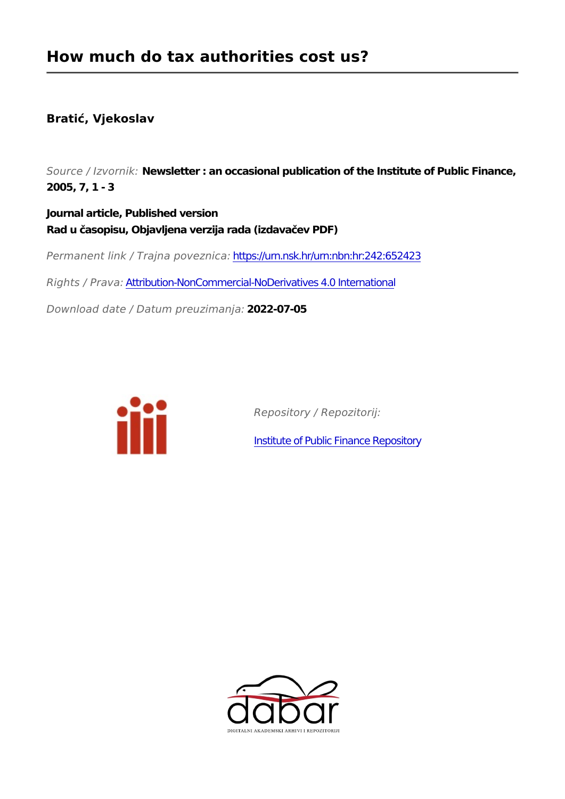## **Bratić, Vjekoslav**

*Source / Izvornik:* **Newsletter : an occasional publication of the Institute of Public Finance, 2005, 7, 1 - 3**

**Journal article, Published version Rad u časopisu, Objavljena verzija rada (izdavačev PDF)**

*Permanent link / Trajna poveznica:* <https://urn.nsk.hr/urn:nbn:hr:242:652423>

*Rights / Prava:* [Attribution-NonCommercial-NoDerivatives 4.0 International](http://creativecommons.org/licenses/by-nc-nd/4.0/)

*Download date / Datum preuzimanja:* **2022-07-05**



*Repository / Repozitorij:*

[Institute of Public Finance Repository](https://repozitorij.ijf.hr)

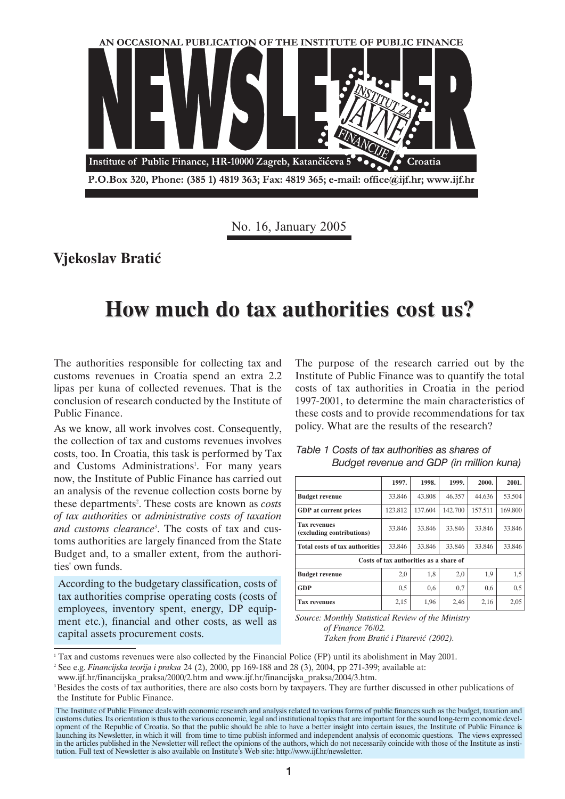

No. 16, January 2005

**Vjekoslav Bratiæ**

## **How much do tax authorities cost us? How much do tax authorities cost us?**

The authorities responsible for collecting tax and customs revenues in Croatia spend an extra 2.2 lipas per kuna of collected revenues. That is the conclusion of research conducted by the Institute of Public Finance.

As we know, all work involves cost. Consequently, the collection of tax and customs revenues involves costs, too. In Croatia, this task is performed by Tax and Customs Administrations<sup>1</sup>. For many years now, the Institute of Public Finance has carried out an analysis of the revenue collection costs borne by these departments<sup>2</sup>. These costs are known as *costs of tax authorities* or *administrative costs of taxation and customs clearance3* . The costs of tax and customs authorities are largely financed from the State Budget and, to a smaller extent, from the authorities' own funds.

According to the budgetary classification, costs of tax authorities comprise operating costs (costs of employees, inventory spent, energy, DP equipment etc.), financial and other costs, as well as capital assets procurement costs.

The purpose of the research carried out by the Institute of Public Finance was to quantify the total costs of tax authorities in Croatia in the period 1997-2001, to determine the main characteristics of these costs and to provide recommendations for tax policy. What are the results of the research?

|                                                  | 1997.   | 1998.   | 1999.   | 2000.   | 2001.   |  |  |  |  |  |
|--------------------------------------------------|---------|---------|---------|---------|---------|--|--|--|--|--|
| <b>Budget revenue</b>                            | 33.846  | 43.808  | 46.357  | 44.636  | 53.504  |  |  |  |  |  |
| <b>GDP</b> at current prices                     | 123.812 | 137.604 | 142.700 | 157.511 | 169.800 |  |  |  |  |  |
| <b>Tax revenues</b><br>(excluding contributions) | 33.846  | 33.846  | 33.846  | 33.846  | 33.846  |  |  |  |  |  |
| <b>Total costs of tax authorities</b>            | 33.846  | 33.846  | 33.846  | 33.846  | 33.846  |  |  |  |  |  |
| Costs of tax authorities as a share of           |         |         |         |         |         |  |  |  |  |  |
| <b>Budget revenue</b>                            | 2,0     | 1,8     | 2,0     | 1,9     | 1,5     |  |  |  |  |  |
| <b>GDP</b>                                       | 0,5     | 0,6     | 0,7     | 0,6     | 0,5     |  |  |  |  |  |
| <b>Tax revenues</b>                              | 2,15    | 1,96    | 2,46    | 2,16    | 2,05    |  |  |  |  |  |

*Table 1 Costs of tax authorities as shares of Budget revenue and GDP (in million kuna)*

*Source: Monthly Statistical Review of the Ministry of Finance 76/02.*

*Taken from Bratić i Pitarević (2002).* 

<sup>1</sup> Tax and customs revenues were also collected by the Financial Police (FP) until its abolishment in May 2001.

<sup>2</sup> See e.g. *Financijska teorija i praksa* 24 (2), 2000, pp 169-188 and 28 (3), 2004, pp 271-399; available at:

www.ijf.hr/financijska\_praksa/2000/2.htm and www.ijf.hr/financijska\_praksa/2004/3.htm.

<sup>&</sup>lt;sup>3</sup> Besides the costs of tax authorities, there are also costs born by taxpayers. They are further discussed in other publications of the Institute for Public Finance.

The Institute of Public Finance deals with economic research and analysis related to various forms of public finances such as the budget, taxation and customs duties. Its orientation is thus to the various economic, legal and institutional topics that are important for the sound long-term economic development of the Republic of Croatia. So that the public should be able to have a better insight into certain issues, the Institute of Public Finance is launching its Newsletter, in which it will from time to time publish informed and independent analysis of economic questions. The views expressed in the articles published in the Newsletter will reflect the opinions of the authors, which do not necessarily coincide with those of the Institute as institution. Full text of Newsletter is also available on Institute's Web site: http://www.ijf.hr/newsletter.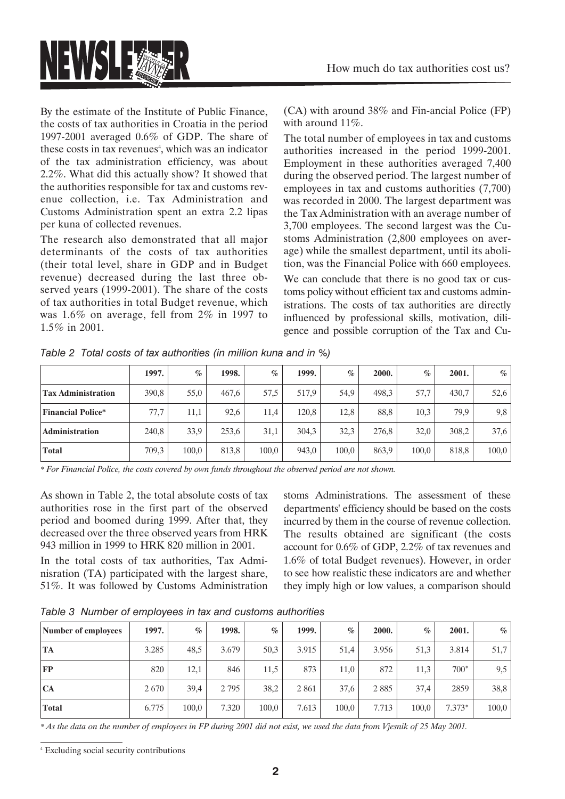

By the estimate of the Institute of Public Finance, the costs of tax authorities in Croatia in the period 1997-2001 averaged 0.6% of GDP. The share of these costs in tax revenues<sup>4</sup>, which was an indicator of the tax administration efficiency, was about 2.2%. What did this actually show? It showed that the authorities responsible for tax and customs revenue collection, i.e. Tax Administration and Customs Administration spent an extra 2.2 lipas per kuna of collected revenues.

The research also demonstrated that all major determinants of the costs of tax authorities (their total level, share in GDP and in Budget revenue) decreased during the last three observed years (1999-2001). The share of the costs of tax authorities in total Budget revenue, which was 1.6% on average, fell from 2% in 1997 to 1.5% in 2001.

(CA) with around 38% and Fin-ancial Police (FP) with around 11%.

The total number of employees in tax and customs authorities increased in the period 1999-2001. Employment in these authorities averaged 7,400 during the observed period. The largest number of employees in tax and customs authorities (7,700) was recorded in 2000. The largest department was the Tax Administration with an average number of 3,700 employees. The second largest was the Customs Administration (2,800 employees on average) while the smallest department, until its abolition, was the Financial Police with 660 employees. We can conclude that there is no good tax or customs policy without efficient tax and customs administrations. The costs of tax authorities are directly influenced by professional skills, motivation, diligence and possible corruption of the Tax and Cu-

|                           | 1997. | $\%$  | 1998. | $\%$  | 1999. | $\%$  | 2000. | $\%$  | 2001. | $\%$  |
|---------------------------|-------|-------|-------|-------|-------|-------|-------|-------|-------|-------|
| <b>Tax Administration</b> | 390,8 | 55,0  | 467,6 | 57,5  | 517,9 | 54,9  | 498,3 | 57,7  | 430,7 | 52,6  |
| <b>Financial Police*</b>  | 77,7  | 11,1  | 92,6  | 11,4  | 120.8 | 12,8  | 88,8  | 10,3  | 79,9  | 9,8   |
| <b>Administration</b>     | 240,8 | 33,9  | 253,6 | 31,1  | 304,3 | 32,3  | 276,8 | 32,0  | 308,2 | 37,6  |
| <b>Total</b>              | 709,3 | 100,0 | 813,8 | 100,0 | 943,0 | 100,0 | 863,9 | 100,0 | 818,8 | 100,0 |

*Table 2 Total costs of tax authorities (in million kuna and in %)*

*\* For Financial Police, the costs covered by own funds throughout the observed period are not shown.*

As shown in Table 2, the total absolute costs of tax authorities rose in the first part of the observed period and boomed during 1999. After that, they decreased over the three observed years from HRK 943 million in 1999 to HRK 820 million in 2001.

In the total costs of tax authorities, Tax Adminisration (TA) participated with the largest share, 51%. It was followed by Customs Administration stoms Administrations. The assessment of these departments' efficiency should be based on the costs incurred by them in the course of revenue collection. The results obtained are significant (the costs account for 0.6% of GDP, 2.2% of tax revenues and 1.6% of total Budget revenues). However, in order to see how realistic these indicators are and whether they imply high or low values, a comparison should

*Table 3 Number of employees in tax and customs authorities*

| Number of employees | 1997. | $\%$  | 1998.   | $\%$  | 1999. | $\%$  | 2000. | $\%$  | 2001.    | $\%$  |
|---------------------|-------|-------|---------|-------|-------|-------|-------|-------|----------|-------|
| TA                  | 3.285 | 48,5  | 3.679   | 50,3  | 3.915 | 51,4  | 3.956 | 51,3  | 3.814    | 51,7  |
| FP                  | 820   | 12,1  | 846     | 11,5  | 873   | 11,0  | 872   | 11,3  | $700*$   | 9,5   |
| <b>CA</b>           | 2670  | 39,4  | 2 7 9 5 | 38,2  | 2861  | 37,6  | 2885  | 37,4  | 2859     | 38,8  |
| <b>Total</b>        | 6.775 | 100,0 | 7.320   | 100,0 | 7.613 | 100,0 | 7.713 | 100,0 | $7.373*$ | 100,0 |

*\* As the data on the number of employees in FP during 2001 did not exist, we used the data from Vjesnik of 25 May 2001.*

<sup>4</sup> Excluding social security contributions